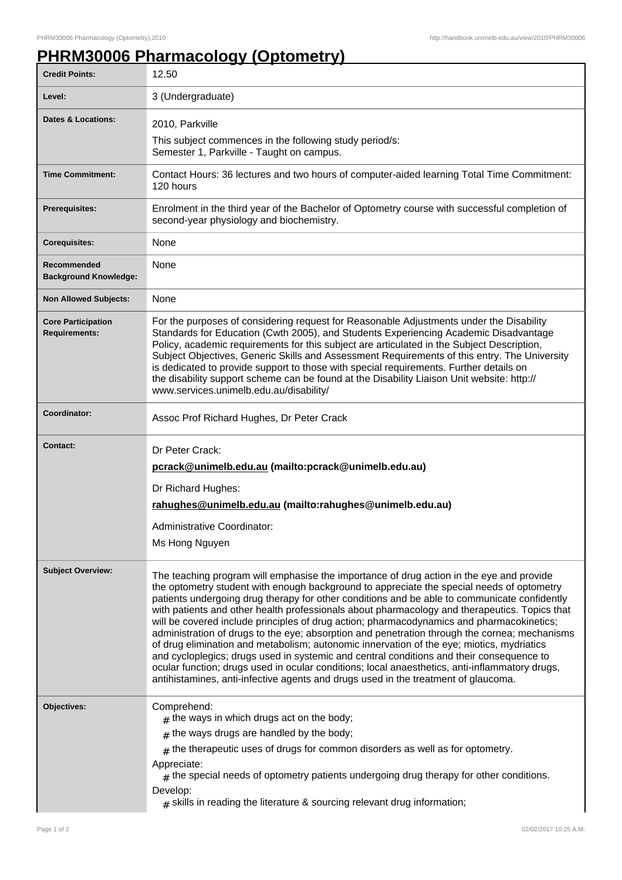## **PHRM30006 Pharmacology (Optometry)**

| 3 (Undergraduate)                                                                                                                                                                                                                                                                                                                                                                                                                                                                                                                                                                                                                                                                                                                                                                                                                                                                                                                                                     |
|-----------------------------------------------------------------------------------------------------------------------------------------------------------------------------------------------------------------------------------------------------------------------------------------------------------------------------------------------------------------------------------------------------------------------------------------------------------------------------------------------------------------------------------------------------------------------------------------------------------------------------------------------------------------------------------------------------------------------------------------------------------------------------------------------------------------------------------------------------------------------------------------------------------------------------------------------------------------------|
|                                                                                                                                                                                                                                                                                                                                                                                                                                                                                                                                                                                                                                                                                                                                                                                                                                                                                                                                                                       |
| 2010, Parkville                                                                                                                                                                                                                                                                                                                                                                                                                                                                                                                                                                                                                                                                                                                                                                                                                                                                                                                                                       |
| This subject commences in the following study period/s:<br>Semester 1, Parkville - Taught on campus.                                                                                                                                                                                                                                                                                                                                                                                                                                                                                                                                                                                                                                                                                                                                                                                                                                                                  |
| Contact Hours: 36 lectures and two hours of computer-aided learning Total Time Commitment:<br>120 hours                                                                                                                                                                                                                                                                                                                                                                                                                                                                                                                                                                                                                                                                                                                                                                                                                                                               |
| Enrolment in the third year of the Bachelor of Optometry course with successful completion of<br>second-year physiology and biochemistry.                                                                                                                                                                                                                                                                                                                                                                                                                                                                                                                                                                                                                                                                                                                                                                                                                             |
| None                                                                                                                                                                                                                                                                                                                                                                                                                                                                                                                                                                                                                                                                                                                                                                                                                                                                                                                                                                  |
| None                                                                                                                                                                                                                                                                                                                                                                                                                                                                                                                                                                                                                                                                                                                                                                                                                                                                                                                                                                  |
| None                                                                                                                                                                                                                                                                                                                                                                                                                                                                                                                                                                                                                                                                                                                                                                                                                                                                                                                                                                  |
| For the purposes of considering request for Reasonable Adjustments under the Disability<br>Standards for Education (Cwth 2005), and Students Experiencing Academic Disadvantage<br>Policy, academic requirements for this subject are articulated in the Subject Description,<br>Subject Objectives, Generic Skills and Assessment Requirements of this entry. The University<br>is dedicated to provide support to those with special requirements. Further details on<br>the disability support scheme can be found at the Disability Liaison Unit website: http://<br>www.services.unimelb.edu.au/disability/                                                                                                                                                                                                                                                                                                                                                      |
| Assoc Prof Richard Hughes, Dr Peter Crack                                                                                                                                                                                                                                                                                                                                                                                                                                                                                                                                                                                                                                                                                                                                                                                                                                                                                                                             |
| Dr Peter Crack:<br>pcrack@unimelb.edu.au (mailto:pcrack@unimelb.edu.au)<br>Dr Richard Hughes:<br>rahughes@unimelb.edu.au (mailto:rahughes@unimelb.edu.au)<br>Administrative Coordinator:<br>Ms Hong Nguyen                                                                                                                                                                                                                                                                                                                                                                                                                                                                                                                                                                                                                                                                                                                                                            |
| The teaching program will emphasise the importance of drug action in the eye and provide<br>the optometry student with enough background to appreciate the special needs of optometry<br>patients undergoing drug therapy for other conditions and be able to communicate confidently<br>with patients and other health professionals about pharmacology and therapeutics. Topics that<br>will be covered include principles of drug action; pharmacodynamics and pharmacokinetics;<br>administration of drugs to the eye; absorption and penetration through the cornea; mechanisms<br>of drug elimination and metabolism; autonomic innervation of the eye; miotics, mydriatics<br>and cycloplegics; drugs used in systemic and central conditions and their consequence to<br>ocular function; drugs used in ocular conditions; local anaesthetics, anti-inflammatory drugs,<br>antihistamines, anti-infective agents and drugs used in the treatment of glaucoma. |
| Comprehend:<br>$#$ the ways in which drugs act on the body;<br>$#$ the ways drugs are handled by the body;<br>$#$ the therapeutic uses of drugs for common disorders as well as for optometry.<br>Appreciate:<br>$#$ the special needs of optometry patients undergoing drug therapy for other conditions.<br>Develop:                                                                                                                                                                                                                                                                                                                                                                                                                                                                                                                                                                                                                                                |
|                                                                                                                                                                                                                                                                                                                                                                                                                                                                                                                                                                                                                                                                                                                                                                                                                                                                                                                                                                       |